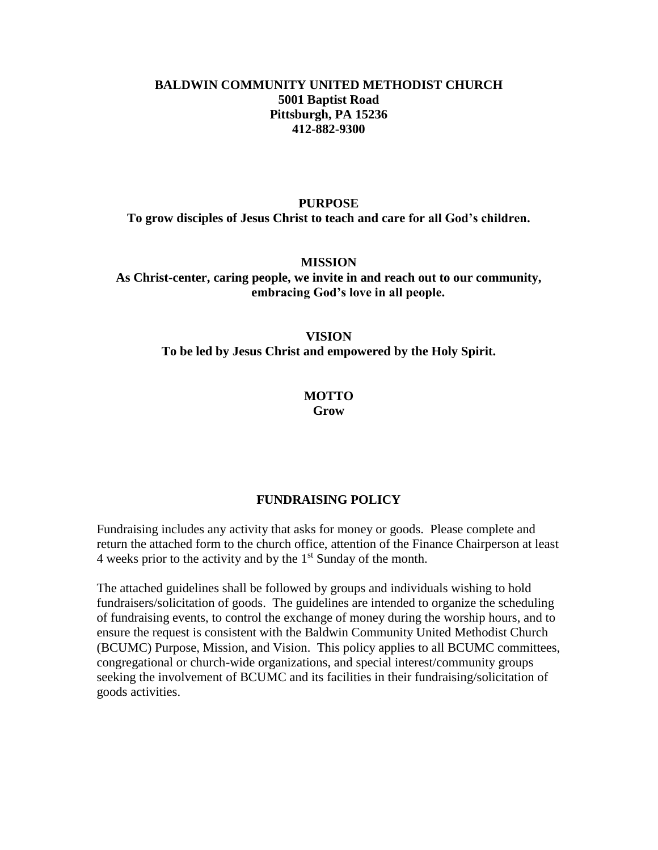## **BALDWIN COMMUNITY UNITED METHODIST CHURCH 5001 Baptist Road Pittsburgh, PA 15236 412-882-9300**

#### **PURPOSE**

**To grow disciples of Jesus Christ to teach and care for all God's children.**

**MISSION**

**As Christ-center, caring people, we invite in and reach out to our community, embracing God's love in all people.**

### **VISION**

**To be led by Jesus Christ and empowered by the Holy Spirit.**

#### **MOTTO Grow**

### **FUNDRAISING POLICY**

Fundraising includes any activity that asks for money or goods. Please complete and return the attached form to the church office, attention of the Finance Chairperson at least 4 weeks prior to the activity and by the  $1<sup>st</sup>$  Sunday of the month.

The attached guidelines shall be followed by groups and individuals wishing to hold fundraisers/solicitation of goods. The guidelines are intended to organize the scheduling of fundraising events, to control the exchange of money during the worship hours, and to ensure the request is consistent with the Baldwin Community United Methodist Church (BCUMC) Purpose, Mission, and Vision. This policy applies to all BCUMC committees, congregational or church-wide organizations, and special interest/community groups seeking the involvement of BCUMC and its facilities in their fundraising/solicitation of goods activities.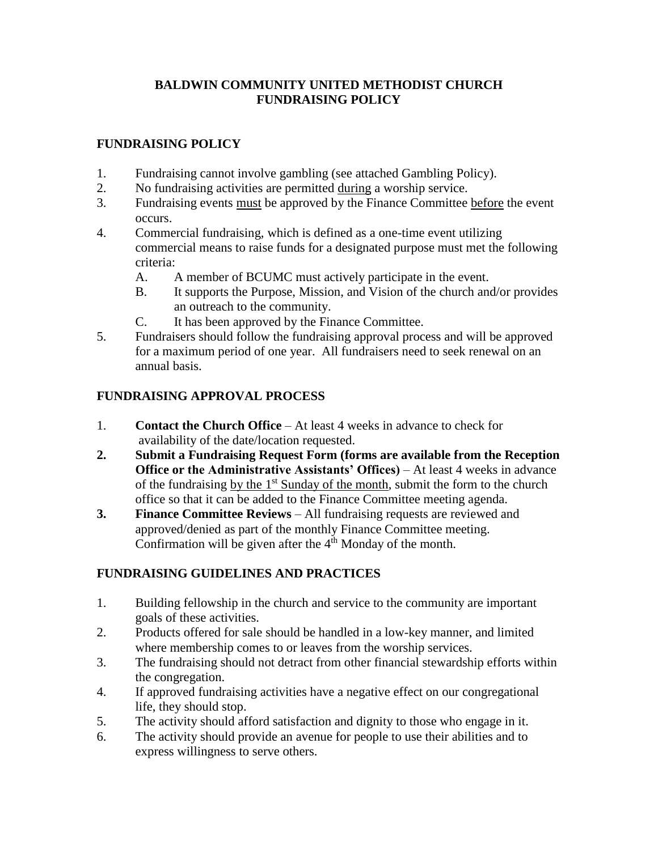## **BALDWIN COMMUNITY UNITED METHODIST CHURCH FUNDRAISING POLICY**

## **FUNDRAISING POLICY**

- 1. Fundraising cannot involve gambling (see attached Gambling Policy).
- 2. No fundraising activities are permitted during a worship service.
- 3. Fundraising events must be approved by the Finance Committee before the event occurs.
- 4. Commercial fundraising, which is defined as a one-time event utilizing commercial means to raise funds for a designated purpose must met the following criteria:
	- A. A member of BCUMC must actively participate in the event.
	- B. It supports the Purpose, Mission, and Vision of the church and/or provides an outreach to the community.
	- C. It has been approved by the Finance Committee.
- 5. Fundraisers should follow the fundraising approval process and will be approved for a maximum period of one year. All fundraisers need to seek renewal on an annual basis.

# **FUNDRAISING APPROVAL PROCESS**

- 1. **Contact the Church Office** At least 4 weeks in advance to check for availability of the date/location requested.
- **2. Submit a Fundraising Request Form (forms are available from the Reception Office or the Administrative Assistants' Offices)** – At least 4 weeks in advance of the fundraising by the  $1<sup>st</sup>$  Sunday of the month, submit the form to the church office so that it can be added to the Finance Committee meeting agenda.
- **3. Finance Committee Reviews** All fundraising requests are reviewed and approved/denied as part of the monthly Finance Committee meeting. Confirmation will be given after the  $4<sup>th</sup>$  Monday of the month.

# **FUNDRAISING GUIDELINES AND PRACTICES**

- 1. Building fellowship in the church and service to the community are important goals of these activities.
- 2. Products offered for sale should be handled in a low-key manner, and limited where membership comes to or leaves from the worship services.
- 3. The fundraising should not detract from other financial stewardship efforts within the congregation.
- 4. If approved fundraising activities have a negative effect on our congregational life, they should stop.
- 5. The activity should afford satisfaction and dignity to those who engage in it.
- 6. The activity should provide an avenue for people to use their abilities and to express willingness to serve others.